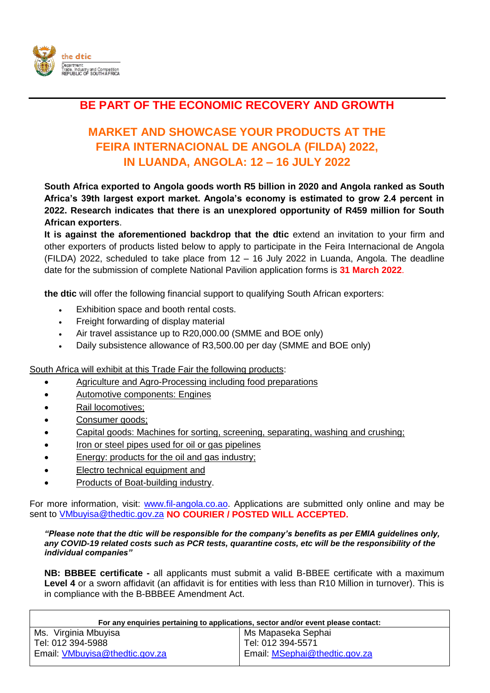

## **BE PART OF THE ECONOMIC RECOVERY AND GROWTH**

## **MARKET AND SHOWCASE YOUR PRODUCTS AT THE FEIRA INTERNACIONAL DE ANGOLA (FILDA) 2022, IN LUANDA, ANGOLA: 12 – 16 JULY 2022**

**South Africa exported to Angola goods worth R5 billion in 2020 and Angola ranked as South Africa's 39th largest export market. Angola's economy is estimated to grow 2.4 percent in 2022. Research indicates that there is an unexplored opportunity of R459 million for South African exporters**.

**It is against the aforementioned backdrop that the dtic** extend an invitation to your firm and other exporters of products listed below to apply to participate in the Feira Internacional de Angola (FILDA) 2022, scheduled to take place from 12 – 16 July 2022 in Luanda, Angola. The deadline date for the submission of complete National Pavilion application forms is **31 March 2022**.

**the dtic** will offer the following financial support to qualifying South African exporters:

- Exhibition space and booth rental costs.
- Freight forwarding of display material
- Air travel assistance up to R20,000.00 (SMME and BOE only)
- Daily subsistence allowance of R3,500.00 per day (SMME and BOE only)

South Africa will exhibit at this Trade Fair the following products:

- Agriculture and Agro-Processing including food preparations
- Automotive components: Engines
- Rail locomotives;
- Consumer goods:
- Capital goods: Machines for sorting, screening, separating, washing and crushing;
- Iron or steel pipes used for oil or gas pipelines
- Energy: products for the oil and gas industry;
- Electro technical equipment and
- Products of Boat-building industry.

For more information, visit: [www.fil-angola.co.ao.](http://www.fil-angola.co.ao/) Applications are submitted only online and may be sent to [VMbuyisa@thedtic.gov.za](mailto:VMbuyisa@thedtic.gov.za) **NO COURIER / POSTED WILL ACCEPTED.**

*"Please note that the dtic will be responsible for the company's benefits as per EMIA guidelines only, any COVID-19 related costs such as PCR tests, quarantine costs, etc will be the responsibility of the individual companies"*

**NB: BBBEE certificate -** all applicants must submit a valid B-BBEE certificate with a maximum **Level 4** or a sworn affidavit (an affidavit is for entities with less than R10 Million in turnover). This is in compliance with the B-BBBEE Amendment Act.

| For any enquiries pertaining to applications, sector and/or event please contact: |
|-----------------------------------------------------------------------------------|
| Ms Mapaseka Sephai                                                                |
| l Tel: 012 394-5571                                                               |
| Email: MSephai@thedtic.gov.za                                                     |
|                                                                                   |